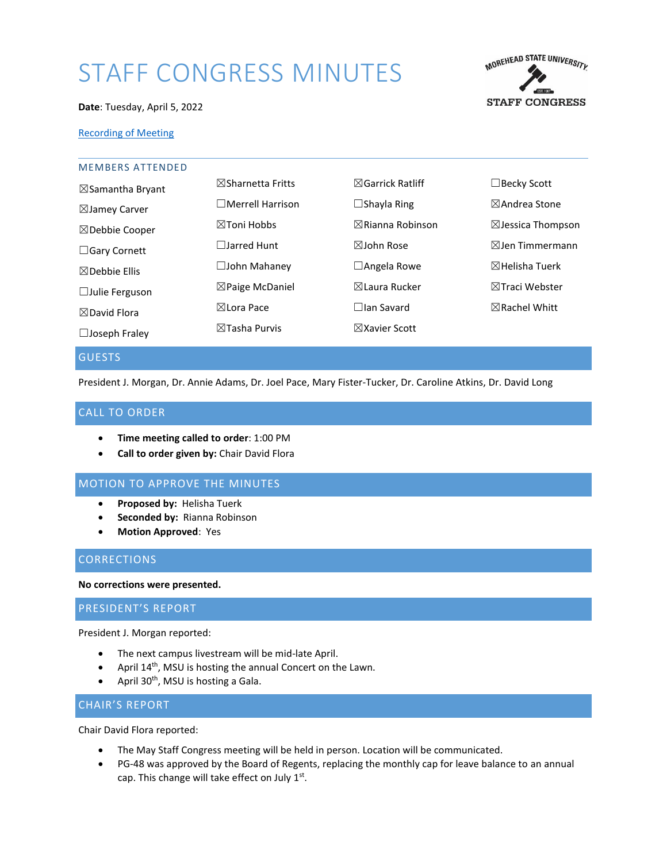# STAFF CONGRESS MINUTES



#### **Date**: Tuesday, April 5, 2022

# [Recording of Meeting](https://moreheadstate.webex.com/moreheadstate/ldr.php?RCID=e36c3f802c01610aea1089b8b8198a50)

| <b>MEMBERS ATTENDED</b>     |                              |                             |                              |
|-----------------------------|------------------------------|-----------------------------|------------------------------|
| $\boxtimes$ Samantha Bryant | $\boxtimes$ Sharnetta Fritts | $\boxtimes$ Garrick Ratliff | $\Box$ Becky Scott           |
| $\boxtimes$ Jamey Carver    | $\Box$ Merrell Harrison      | $\Box$ Shayla Ring          | $\boxtimes$ Andrea Stone     |
| $\boxtimes$ Debbie Cooper   | $\boxtimes$ Toni Hobbs       | $\boxtimes$ Rianna Robinson | $\boxtimes$ Jessica Thompson |
| $\Box$ Gary Cornett         | $\Box$ Jarred Hunt           | $\boxtimes$ John Rose       | $\boxtimes$ Jen Timmermann   |
| $\boxtimes$ Debbie Ellis    | $\square$ John Mahaney       | $\Box$ Angela Rowe          | $\boxtimes$ Helisha Tuerk    |
| $\Box$ Julie Ferguson       | $\boxtimes$ Paige McDaniel   | ⊠Laura Rucker               | $\boxtimes$ Traci Webster    |
| $\boxtimes$ David Flora     | $\boxtimes$ Lora Pace        | $\Box$ lan Savard           | $\boxtimes$ Rachel Whitt     |
| $\Box$ Joseph Fraley        | $\boxtimes$ Tasha Purvis     | $\boxtimes$ Xavier Scott    |                              |
|                             |                              |                             |                              |

#### GUESTS

President J. Morgan, Dr. Annie Adams, Dr. Joel Pace, Mary Fister-Tucker, Dr. Caroline Atkins, Dr. David Long

# CALL TO ORDER

- **Time meeting called to order**: 1:00 PM
- **Call to order given by:** Chair David Flora

# MOTION TO APPROVE THE MINUTES

- **Proposed by:** Helisha Tuerk
- **Seconded by:** Rianna Robinson
- **Motion Approved**: Yes

# **CORRECTIONS**

#### **No corrections were presented.**

# PRESIDENT'S REPORT

President J. Morgan reported:

- The next campus livestream will be mid-late April.
- April 14<sup>th</sup>, MSU is hosting the annual Concert on the Lawn.
- April  $30<sup>th</sup>$ , MSU is hosting a Gala.

#### CHAIR'S REPORT

Chair David Flora reported:

- The May Staff Congress meeting will be held in person. Location will be communicated.
- PG-48 was approved by the Board of Regents, replacing the monthly cap for leave balance to an annual cap. This change will take effect on July  $1<sup>st</sup>$ .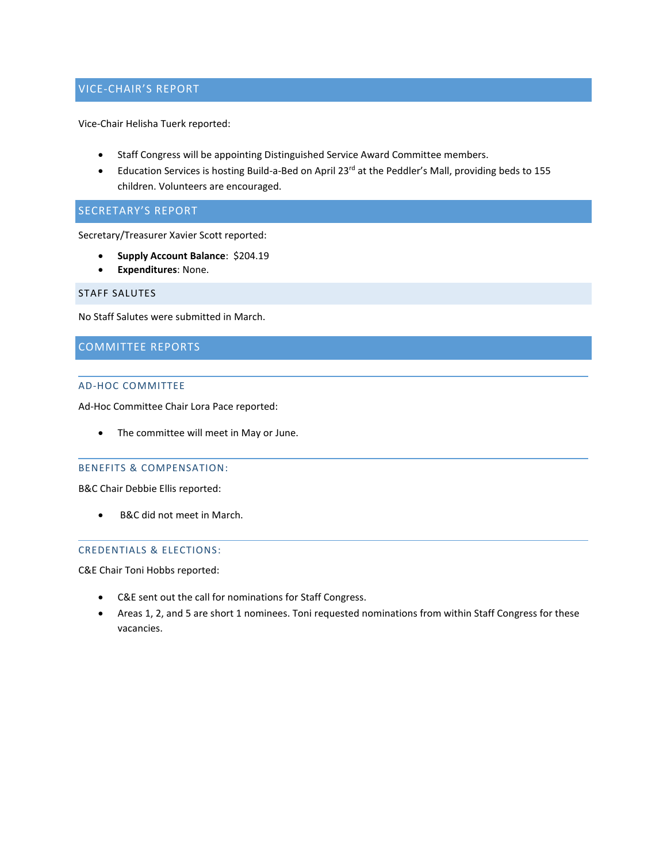# VICE-CHAIR'S REPORT

Vice-Chair Helisha Tuerk reported:

- Staff Congress will be appointing Distinguished Service Award Committee members.
- Education Services is hosting Build-a-Bed on April 23rd at the Peddler's Mall, providing beds to 155 children. Volunteers are encouraged.

# SECRETARY'S REPORT

Secretary/Treasurer Xavier Scott reported:

- **Supply Account Balance**: \$204.19
- **Expenditures**: None.

#### STAFF SALUTES

No Staff Salutes were submitted in March.

# COMMITTEE REPORTS

#### AD-HOC COMMITTEE

Ad-Hoc Committee Chair Lora Pace reported:

• The committee will meet in May or June.

#### BENEFITS & COMPENSATION:

B&C Chair Debbie Ellis reported:

• B&C did not meet in March.

# CREDENTIALS & ELECTIONS:

C&E Chair Toni Hobbs reported:

- C&E sent out the call for nominations for Staff Congress.
- Areas 1, 2, and 5 are short 1 nominees. Toni requested nominations from within Staff Congress for these vacancies.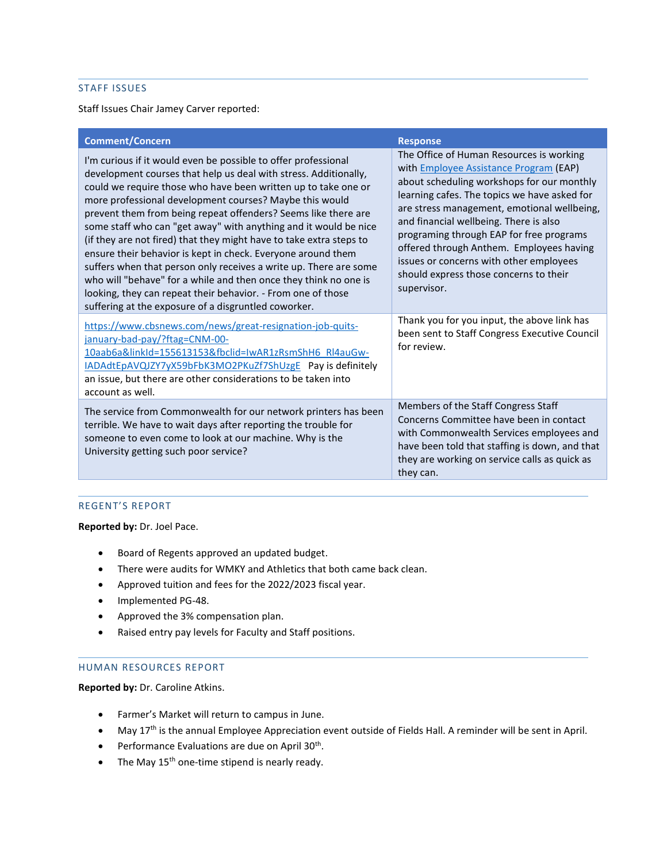# STAFF ISSUES

Staff Issues Chair Jamey Carver reported:

| <b>Comment/Concern</b>                                                                                                                                                                                                                                                                                                                                                                                                                                                                                                                                                                                                                                                                                                                                                                                        | <b>Response</b>                                                                                                                                                                                                                                                                                                                                                                                                                                                              |
|---------------------------------------------------------------------------------------------------------------------------------------------------------------------------------------------------------------------------------------------------------------------------------------------------------------------------------------------------------------------------------------------------------------------------------------------------------------------------------------------------------------------------------------------------------------------------------------------------------------------------------------------------------------------------------------------------------------------------------------------------------------------------------------------------------------|------------------------------------------------------------------------------------------------------------------------------------------------------------------------------------------------------------------------------------------------------------------------------------------------------------------------------------------------------------------------------------------------------------------------------------------------------------------------------|
| I'm curious if it would even be possible to offer professional<br>development courses that help us deal with stress. Additionally,<br>could we require those who have been written up to take one or<br>more professional development courses? Maybe this would<br>prevent them from being repeat offenders? Seems like there are<br>some staff who can "get away" with anything and it would be nice<br>(if they are not fired) that they might have to take extra steps to<br>ensure their behavior is kept in check. Everyone around them<br>suffers when that person only receives a write up. There are some<br>who will "behave" for a while and then once they think no one is<br>looking, they can repeat their behavior. - From one of those<br>suffering at the exposure of a disgruntled coworker. | The Office of Human Resources is working<br>with <b>Employee Assistance Program</b> (EAP)<br>about scheduling workshops for our monthly<br>learning cafes. The topics we have asked for<br>are stress management, emotional wellbeing,<br>and financial wellbeing. There is also<br>programing through EAP for free programs<br>offered through Anthem. Employees having<br>issues or concerns with other employees<br>should express those concerns to their<br>supervisor. |
| https://www.cbsnews.com/news/great-resignation-job-quits-<br>january-bad-pay/?ftag=CNM-00-<br>10aab6a&linkId=155613153&fbclid=IwAR1zRsmShH6 Rl4auGw-<br>IADAdtEpAVQJZY7yX59bFbK3MO2PKuZf7ShUzgE Pay is definitely<br>an issue, but there are other considerations to be taken into<br>account as well.                                                                                                                                                                                                                                                                                                                                                                                                                                                                                                        | Thank you for you input, the above link has<br>been sent to Staff Congress Executive Council<br>for review.                                                                                                                                                                                                                                                                                                                                                                  |
| The service from Commonwealth for our network printers has been<br>terrible. We have to wait days after reporting the trouble for<br>someone to even come to look at our machine. Why is the<br>University getting such poor service?                                                                                                                                                                                                                                                                                                                                                                                                                                                                                                                                                                         | Members of the Staff Congress Staff<br>Concerns Committee have been in contact<br>with Commonwealth Services employees and<br>have been told that staffing is down, and that<br>they are working on service calls as quick as<br>they can.                                                                                                                                                                                                                                   |

# REGENT'S REPORT

**Reported by:** Dr. Joel Pace.

- Board of Regents approved an updated budget.
- There were audits for WMKY and Athletics that both came back clean.
- Approved tuition and fees for the 2022/2023 fiscal year.
- Implemented PG-48.
- Approved the 3% compensation plan.
- Raised entry pay levels for Faculty and Staff positions.

## HUMAN RESOURCES REPORT

**Reported by:** Dr. Caroline Atkins.

- Farmer's Market will return to campus in June.
- May 17<sup>th</sup> is the annual Employee Appreciation event outside of Fields Hall. A reminder will be sent in April.
- **•** Performance Evaluations are due on April  $30<sup>th</sup>$ .
- The May  $15<sup>th</sup>$  one-time stipend is nearly ready.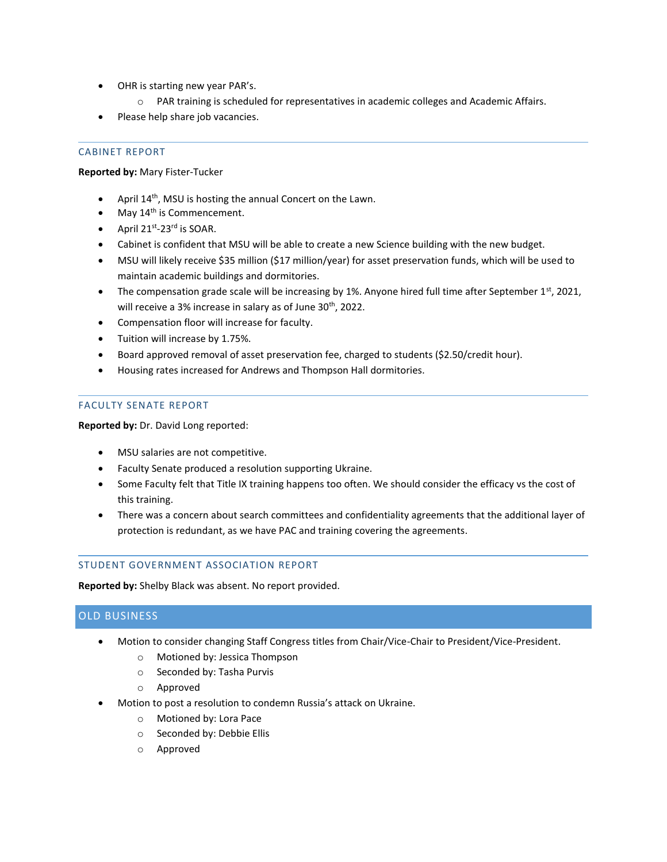- OHR is starting new year PAR's.
	- o PAR training is scheduled for representatives in academic colleges and Academic Affairs.
- Please help share job vacancies.

# CABINET REPORT

# **Reported by:** Mary Fister-Tucker

- April 14th, MSU is hosting the annual Concert on the Lawn.
- May  $14<sup>th</sup>$  is Commencement.
- April  $21^{st}$ -23<sup>rd</sup> is SOAR.
- Cabinet is confident that MSU will be able to create a new Science building with the new budget.
- MSU will likely receive \$35 million (\$17 million/year) for asset preservation funds, which will be used to maintain academic buildings and dormitories.
- The compensation grade scale will be increasing by 1%. Anyone hired full time after September 1st, 2021, will receive a 3% increase in salary as of June  $30<sup>th</sup>$ , 2022.
- Compensation floor will increase for faculty.
- Tuition will increase by 1.75%.
- Board approved removal of asset preservation fee, charged to students (\$2.50/credit hour).
- Housing rates increased for Andrews and Thompson Hall dormitories.

#### FACULTY SENATE REPORT

**Reported by:** Dr. David Long reported:

- MSU salaries are not competitive.
- Faculty Senate produced a resolution supporting Ukraine.
- Some Faculty felt that Title IX training happens too often. We should consider the efficacy vs the cost of this training.
- There was a concern about search committees and confidentiality agreements that the additional layer of protection is redundant, as we have PAC and training covering the agreements.

# STUDENT GOVERNMENT ASSOCIATION REPORT

**Reported by:** Shelby Black was absent. No report provided.

# OLD BUSINESS

- Motion to consider changing Staff Congress titles from Chair/Vice-Chair to President/Vice-President.
	- o Motioned by: Jessica Thompson
	- o Seconded by: Tasha Purvis
	- o Approved
- Motion to post a resolution to condemn Russia's attack on Ukraine.
	- o Motioned by: Lora Pace
	- o Seconded by: Debbie Ellis
	- o Approved